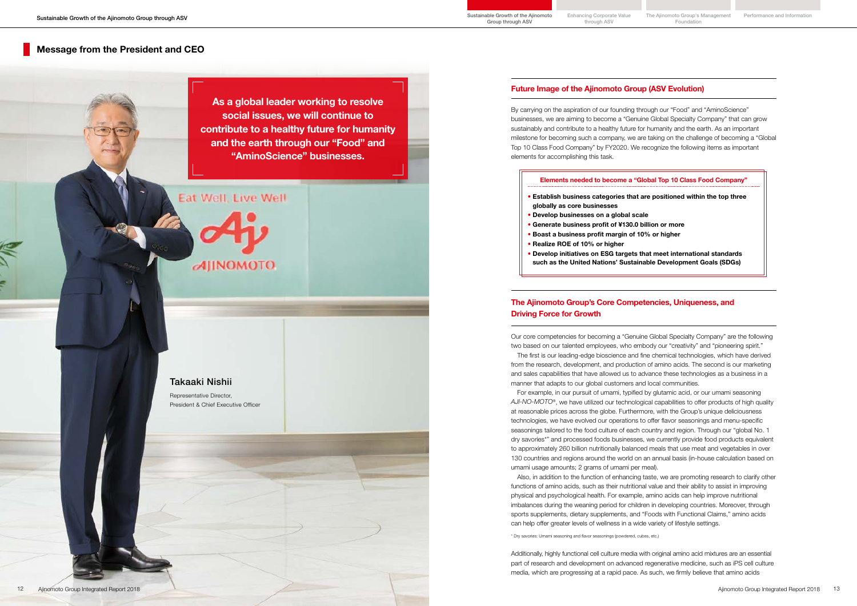## Takaaki Nishii

Representative Director, President & Chief Executive Officer

## Future Image of the Ajinomoto Group (ASV Evolution)

## Message from the President and CEO

By carrying on the aspiration of our founding through our "Food" and "AminoScience" businesses, we are aiming to become a "Genuine Global Specialty Company" that can grow sustainably and contribute to a healthy future for humanity and the earth. As an important milestone for becoming such a company, we are taking on the challenge of becoming a "Global Top 10 Class Food Company" by FY2020. We recognize the following items as important elements for accomplishing this task.

### Elements needed to become a "Global Top 10 Class Food Company"

- Establish business categories that are positioned within the top three globally as core businesses
- Develop businesses on a global scale
- Generate business profit of ¥130.0 billion or more
- Boast a business profit margin of 10% or higher
- Realize ROE of 10% or higher
- Develop initiatives on ESG targets that meet international standards such as the United Nations' Sustainable Development Goals (SDGs)

As a global leader working to resolve social issues, we will continue to contribute to a healthy future for humanity and the earth through our "Food" and "AminoScience" businesses.

# Eat Well, Live Well

**AIINOMOTO** 

## The Ajinomoto Group's Core Competencies, Uniqueness, and Driving Force for Growth

Our core competencies for becoming a "Genuine Global Specialty Company" are the following two based on our talented employees, who embody our "creativity" and "pioneering spirit." manner that adapts to our global customers and local communities.

The first is our leading-edge bioscience and fine chemical technologies, which have derived from the research, development, and production of amino acids. The second is our marketing and sales capabilities that have allowed us to advance these technologies as a business in a

For example, in our pursuit of umami, typified by glutamic acid, or our umami seasoning *AJI-NO-MOTO*®, we have utilized our technological capabilities to offer products of high quality at reasonable prices across the globe. Furthermore, with the Group's unique deliciousness technologies, we have evolved our operations to offer flavor seasonings and menu-specific seasonings tailored to the food culture of each country and region. Through our "global No. 1 dry savories\*" and processed foods businesses, we currently provide food products equivalent to approximately 260 billion nutritionally balanced meals that use meat and vegetables in over 130 countries and regions around the world on an annual basis (in-house calculation based on umami usage amounts; 2 grams of umami per meal).

Also, in addition to the function of enhancing taste, we are promoting research to clarify other functions of amino acids, such as their nutritional value and their ability to assist in improving physical and psychological health. For example, amino acids can help improve nutritional imbalances during the weaning period for children in developing countries. Moreover, through sports supplements, dietary supplements, and "Foods with Functional Claims," amino acids can help offer greater levels of wellness in a wide variety of lifestyle settings.

\* Dry savories: Umami seasoning and flavor seasonings (powdered, cubes, etc.)

Additionally, highly functional cell culture media with original amino acid mixtures are an essential part of research and development on advanced regenerative medicine, such as iPS cell culture media, which are progressing at a rapid pace. As such, we firmly believe that amino acids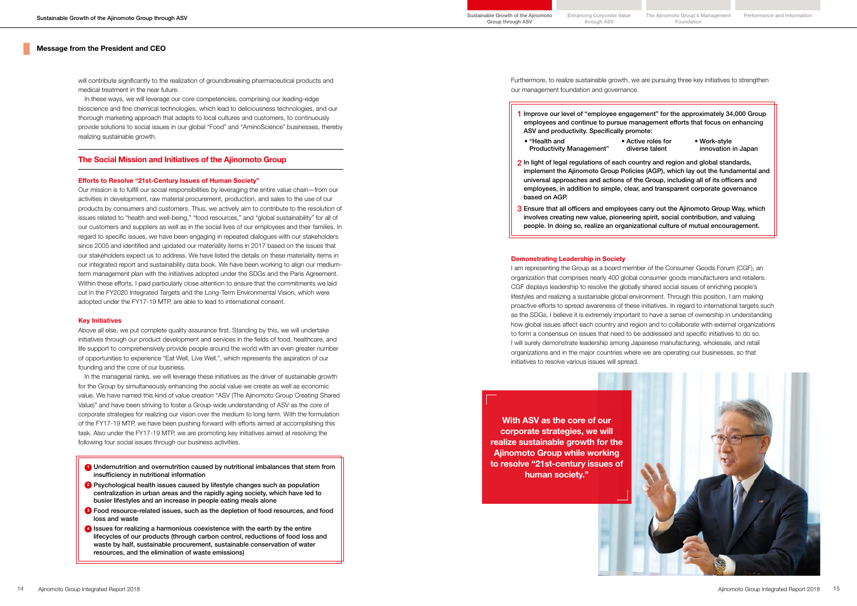### Message from the President and CEO

will contribute significantly to the realization of groundbreaking pharmaceutical products and medical treatment in the near future.

In these ways, we will leverage our core competencies, comprising our leading-edge bioscience and fine chemical technologies, which lead to deliciousness technologies, and our thorough marketing approach that adapts to local cultures and customers, to continuously provide solutions to social issues in our global "Food" and "AminoScience" businesses, thereby realizing sustainable growth.

### The Social Mission and Initiatives of the Ajinomoto Group

#### Efforts to Resolve "21st-Century Issues of Human Society"

Our mission is to fulfill our social responsibilities by leveraging the entire value chain—from our activities in development, raw material procurement, production, and sales to the use of our products by consumers and customers. Thus, we actively aim to contribute to the resolution of issues related to "health and well-being," "food resources," and "global sustainability" for all of our customers and suppliers as well as in the social lives of our employees and their families. In regard to specific issues, we have been engaging in repeated dialogues with our stakeholders since 2005 and identified and updated our materiality items in 2017 based on the issues that our stakeholders expect us to address. We have listed the details on these materiality items in our integrated report and sustainability data book. We have been working to align our mediumterm management plan with the initiatives adopted under the SDGs and the Paris Agreement. Within these efforts, I paid particularly close attention to ensure that the commitments we laid out in the FY2020 Integrated Targets and the Long-Term Environmental Vision, which were adopted under the FY17-19 MTP, are able to lead to international consent.

#### Key Initiatives

Above all else, we put complete quality assurance first. Standing by this, we will undertake initiatives through our product development and services in the fields of food, healthcare, and life support to comprehensively provide people around the world with an even greater number of opportunities to experience "Eat Well, Live Well.", which represents the aspiration of our founding and the core of our business.

In the managerial ranks, we will leverage these initiatives as the driver of sustainable growth for the Group by simultaneously enhancing the social value we create as well as economic value. We have named this kind of value creation "ASV (The Ajinomoto Group Creating Shared Value)" and have been striving to foster a Group-wide understanding of ASV as the core of corporate strategies for realizing our vision over the medium to long term. With the formulation of the FY17-19 MTP, we have been pushing forward with efforts aimed at accomplishing this task. Also under the FY17-19 MTP, we are promoting key initiatives aimed at resolving the following four social issues through our business activities.

- **D** Undernutrition and overnutrition caused by nutritional imbalances that stem from insufficiency in nutritional information
- <sup>2</sup> Psychological health issues caused by lifestyle changes such as population centralization in urban areas and the rapidly aging society, which have led to busier lifestyles and an increase in people eating meals alone
- **3** Food resource-related issues, such as the depletion of food resources, and food loss and waste
- <sup>4</sup> Issues for realizing a harmonious coexistence with the earth by the entire lifecycles of our products (through carbon control, reductions of food loss and waste by half, sustainable procurement, sustainable conservation of water resources, and the elimination of waste emissions)

Furthermore, to realize sustainable growth, we are pursuing three key initiatives to strengthen our management foundation and governance.

1 Improve our level of "employee engagement" for the approximately 34,000 Group

- employees and continue to pursue management efforts that focus on enhancing ASV and productivity. Specifically promote:
- "Health and Productivity Management"
- 2 In light of legal regulations of each country and region and global standards, implement the Ajinomoto Group Policies (AGP), which lay out the fundamental and universal approaches and actions of the Group, including all of its officers and employees, in addition to simple, clear, and transparent corporate governance based on AGP.
- involves creating new value, pioneering spirit, social contribution, and valuing people. In doing so, realize an organizational culture of mutual encouragement.

#### Demonstrating Leadership in Society

I am representing the Group as a board member of the Consumer Goods Forum (CGF), an organization that comprises nearly 400 global consumer goods manufacturers and retailers. CGF displays leadership to resolve the globally shared social issues of enriching people's lifestyles and realizing a sustainable global environment. Through this position, I am making proactive efforts to spread awareness of these initiatives. In regard to international targets such as the SDGs, I believe it is extremely important to have a sense of ownership in understanding how global issues affect each country and region and to collaborate with external organizations to form a consensus on issues that need to be addressed and specific initiatives to do so. I will surely demonstrate leadership among Japanese manufacturing, wholesale, and retail organizations and in the major countries where we are operating our businesses, so that initiatives to resolve various issues will spread.

With ASV as the core of our corporate strategies, we will realize sustainable growth for the Ajinomoto Group while working to resolve "21st-century issues of human society."

• Active roles for diverse talent

• Work-style innovation in Japan

3 Ensure that all officers and employees carry out the Ajinomoto Group Way, which